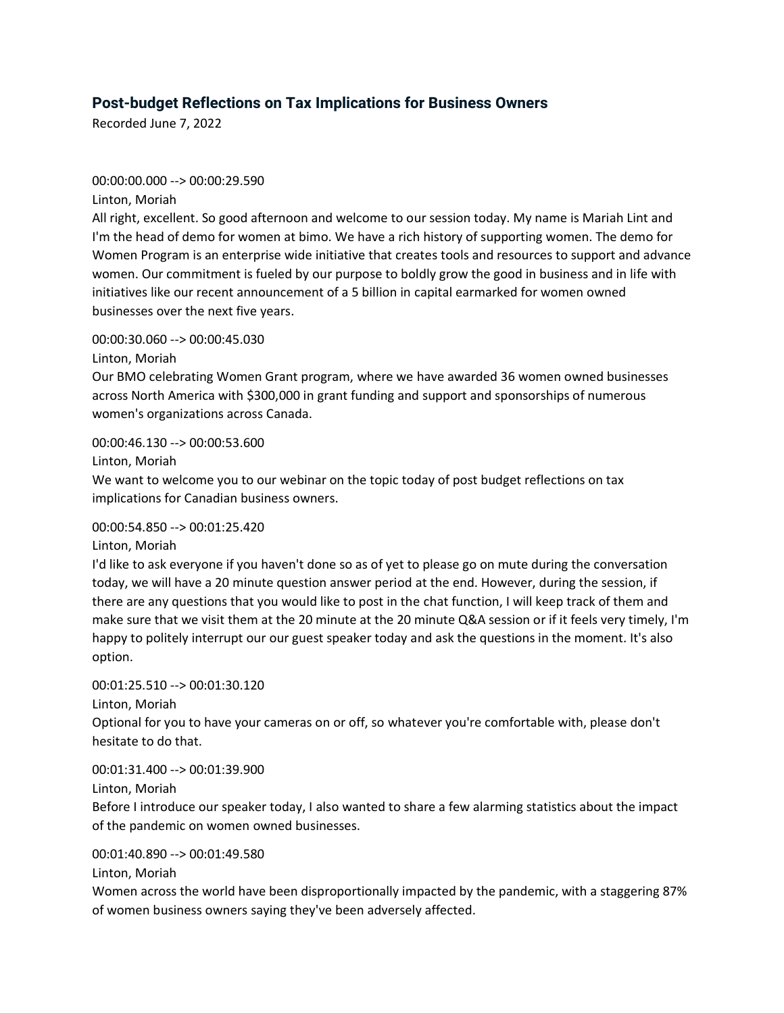# **Post-budget Reflections on Tax Implications for Business Owners**

Recorded June 7, 2022

#### 00:00:00.000 --> 00:00:29.590

Linton, Moriah

All right, excellent. So good afternoon and welcome to our session today. My name is Mariah Lint and I'm the head of demo for women at bimo. We have a rich history of supporting women. The demo for Women Program is an enterprise wide initiative that creates tools and resources to support and advance women. Our commitment is fueled by our purpose to boldly grow the good in business and in life with initiatives like our recent announcement of a 5 billion in capital earmarked for women owned businesses over the next five years.

#### 00:00:30.060 --> 00:00:45.030

Linton, Moriah

Our BMO celebrating Women Grant program, where we have awarded 36 women owned businesses across North America with \$300,000 in grant funding and support and sponsorships of numerous women's organizations across Canada.

00:00:46.130 --> 00:00:53.600

Linton, Moriah

We want to welcome you to our webinar on the topic today of post budget reflections on tax implications for Canadian business owners.

# 00:00:54.850 --> 00:01:25.420

Linton, Moriah

I'd like to ask everyone if you haven't done so as of yet to please go on mute during the conversation today, we will have a 20 minute question answer period at the end. However, during the session, if there are any questions that you would like to post in the chat function, I will keep track of them and make sure that we visit them at the 20 minute at the 20 minute Q&A session or if it feels very timely, I'm happy to politely interrupt our our guest speaker today and ask the questions in the moment. It's also option.

#### 00:01:25.510 --> 00:01:30.120

Linton, Moriah

Optional for you to have your cameras on or off, so whatever you're comfortable with, please don't hesitate to do that.

00:01:31.400 --> 00:01:39.900

Linton, Moriah

Before I introduce our speaker today, I also wanted to share a few alarming statistics about the impact of the pandemic on women owned businesses.

#### 00:01:40.890 --> 00:01:49.580

Linton, Moriah

Women across the world have been disproportionally impacted by the pandemic, with a staggering 87% of women business owners saying they've been adversely affected.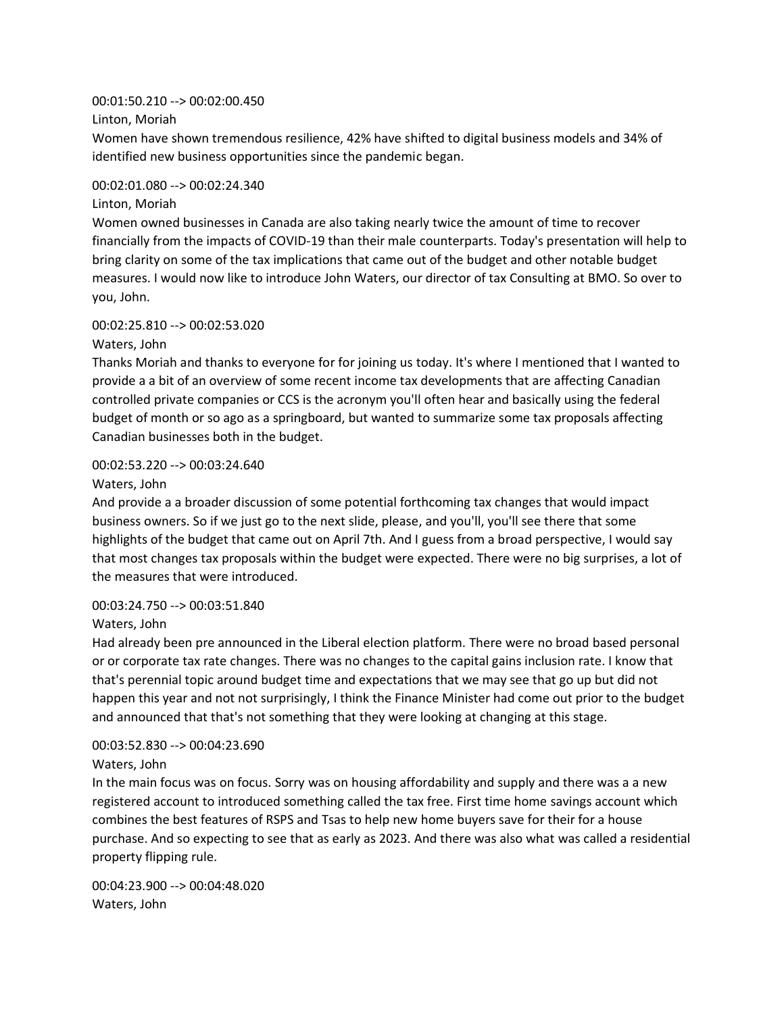00:01:50.210 --> 00:02:00.450

Linton, Moriah

Women have shown tremendous resilience, 42% have shifted to digital business models and 34% of identified new business opportunities since the pandemic began.

### 00:02:01.080 --> 00:02:24.340

#### Linton, Moriah

Women owned businesses in Canada are also taking nearly twice the amount of time to recover financially from the impacts of COVID-19 than their male counterparts. Today's presentation will help to bring clarity on some of the tax implications that came out of the budget and other notable budget measures. I would now like to introduce John Waters, our director of tax Consulting at BMO. So over to you, John.

# 00:02:25.810 --> 00:02:53.020

Waters, John

Thanks Moriah and thanks to everyone for for joining us today. It's where I mentioned that I wanted to provide a a bit of an overview of some recent income tax developments that are affecting Canadian controlled private companies or CCS is the acronym you'll often hear and basically using the federal budget of month or so ago as a springboard, but wanted to summarize some tax proposals affecting Canadian businesses both in the budget.

# 00:02:53.220 --> 00:03:24.640

# Waters, John

And provide a a broader discussion of some potential forthcoming tax changes that would impact business owners. So if we just go to the next slide, please, and you'll, you'll see there that some highlights of the budget that came out on April 7th. And I guess from a broad perspective, I would say that most changes tax proposals within the budget were expected. There were no big surprises, a lot of the measures that were introduced.

# 00:03:24.750 --> 00:03:51.840

# Waters, John

Had already been pre announced in the Liberal election platform. There were no broad based personal or or corporate tax rate changes. There was no changes to the capital gains inclusion rate. I know that that's perennial topic around budget time and expectations that we may see that go up but did not happen this year and not not surprisingly, I think the Finance Minister had come out prior to the budget and announced that that's not something that they were looking at changing at this stage.

# 00:03:52.830 --> 00:04:23.690

# Waters, John

In the main focus was on focus. Sorry was on housing affordability and supply and there was a a new registered account to introduced something called the tax free. First time home savings account which combines the best features of RSPS and Tsas to help new home buyers save for their for a house purchase. And so expecting to see that as early as 2023. And there was also what was called a residential property flipping rule.

00:04:23.900 --> 00:04:48.020 Waters, John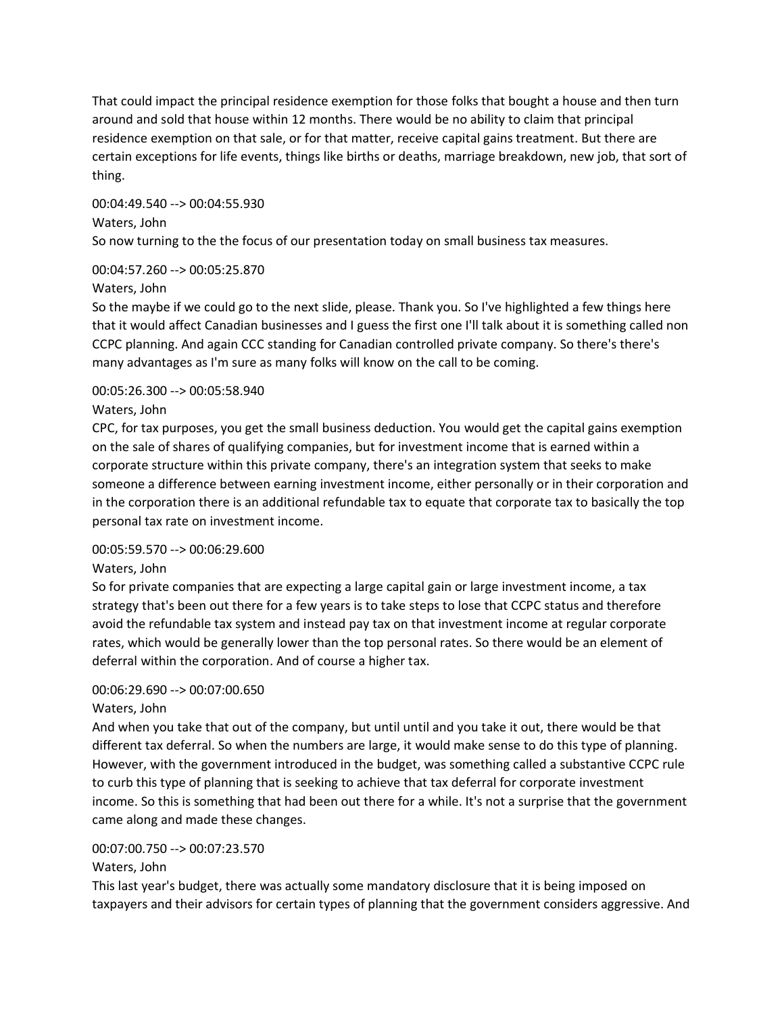That could impact the principal residence exemption for those folks that bought a house and then turn around and sold that house within 12 months. There would be no ability to claim that principal residence exemption on that sale, or for that matter, receive capital gains treatment. But there are certain exceptions for life events, things like births or deaths, marriage breakdown, new job, that sort of thing.

00:04:49.540 --> 00:04:55.930 Waters, John So now turning to the the focus of our presentation today on small business tax measures.

# 00:04:57.260 --> 00:05:25.870

# Waters, John

So the maybe if we could go to the next slide, please. Thank you. So I've highlighted a few things here that it would affect Canadian businesses and I guess the first one I'll talk about it is something called non CCPC planning. And again CCC standing for Canadian controlled private company. So there's there's many advantages as I'm sure as many folks will know on the call to be coming.

# 00:05:26.300 --> 00:05:58.940

# Waters, John

CPC, for tax purposes, you get the small business deduction. You would get the capital gains exemption on the sale of shares of qualifying companies, but for investment income that is earned within a corporate structure within this private company, there's an integration system that seeks to make someone a difference between earning investment income, either personally or in their corporation and in the corporation there is an additional refundable tax to equate that corporate tax to basically the top personal tax rate on investment income.

# 00:05:59.570 --> 00:06:29.600

# Waters, John

So for private companies that are expecting a large capital gain or large investment income, a tax strategy that's been out there for a few years is to take steps to lose that CCPC status and therefore avoid the refundable tax system and instead pay tax on that investment income at regular corporate rates, which would be generally lower than the top personal rates. So there would be an element of deferral within the corporation. And of course a higher tax.

# 00:06:29.690 --> 00:07:00.650

# Waters, John

And when you take that out of the company, but until until and you take it out, there would be that different tax deferral. So when the numbers are large, it would make sense to do this type of planning. However, with the government introduced in the budget, was something called a substantive CCPC rule to curb this type of planning that is seeking to achieve that tax deferral for corporate investment income. So this is something that had been out there for a while. It's not a surprise that the government came along and made these changes.

# 00:07:00.750 --> 00:07:23.570

# Waters, John

This last year's budget, there was actually some mandatory disclosure that it is being imposed on taxpayers and their advisors for certain types of planning that the government considers aggressive. And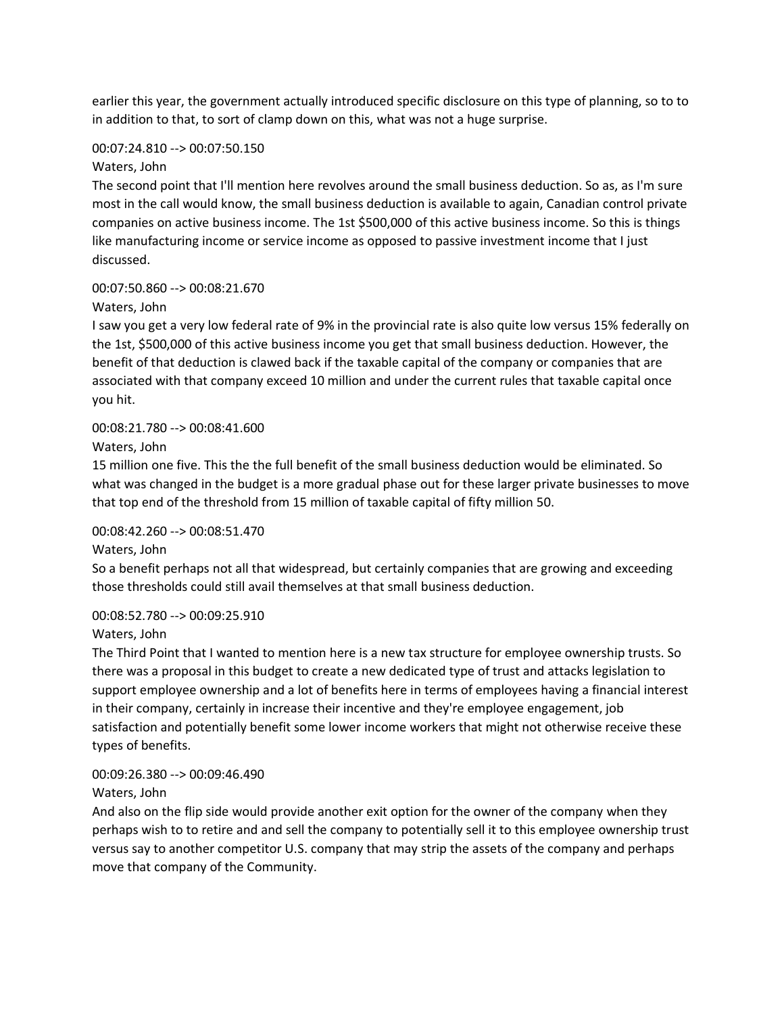earlier this year, the government actually introduced specific disclosure on this type of planning, so to to in addition to that, to sort of clamp down on this, what was not a huge surprise.

# 00:07:24.810 --> 00:07:50.150

# Waters, John

The second point that I'll mention here revolves around the small business deduction. So as, as I'm sure most in the call would know, the small business deduction is available to again, Canadian control private companies on active business income. The 1st \$500,000 of this active business income. So this is things like manufacturing income or service income as opposed to passive investment income that I just discussed.

# 00:07:50.860 --> 00:08:21.670

# Waters, John

I saw you get a very low federal rate of 9% in the provincial rate is also quite low versus 15% federally on the 1st, \$500,000 of this active business income you get that small business deduction. However, the benefit of that deduction is clawed back if the taxable capital of the company or companies that are associated with that company exceed 10 million and under the current rules that taxable capital once you hit.

# 00:08:21.780 --> 00:08:41.600

Waters, John

15 million one five. This the the full benefit of the small business deduction would be eliminated. So what was changed in the budget is a more gradual phase out for these larger private businesses to move that top end of the threshold from 15 million of taxable capital of fifty million 50.

# 00:08:42.260 --> 00:08:51.470

Waters, John

So a benefit perhaps not all that widespread, but certainly companies that are growing and exceeding those thresholds could still avail themselves at that small business deduction.

00:08:52.780 --> 00:09:25.910

Waters, John

The Third Point that I wanted to mention here is a new tax structure for employee ownership trusts. So there was a proposal in this budget to create a new dedicated type of trust and attacks legislation to support employee ownership and a lot of benefits here in terms of employees having a financial interest in their company, certainly in increase their incentive and they're employee engagement, job satisfaction and potentially benefit some lower income workers that might not otherwise receive these types of benefits.

# 00:09:26.380 --> 00:09:46.490

Waters, John

And also on the flip side would provide another exit option for the owner of the company when they perhaps wish to to retire and and sell the company to potentially sell it to this employee ownership trust versus say to another competitor U.S. company that may strip the assets of the company and perhaps move that company of the Community.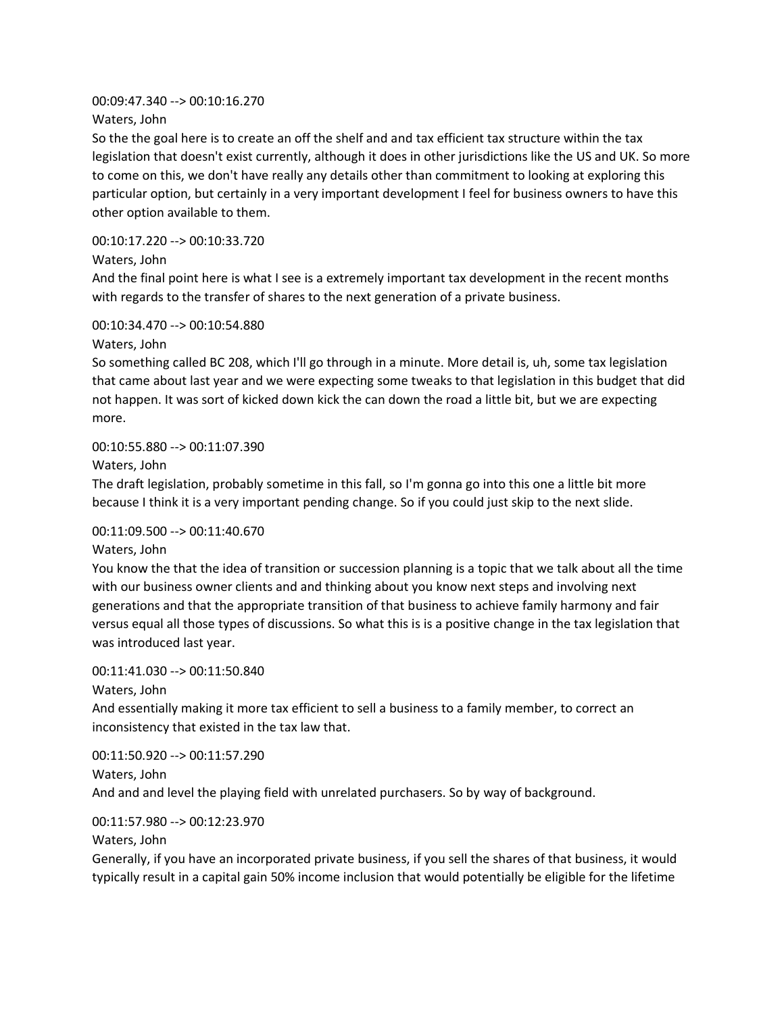# 00:09:47.340 --> 00:10:16.270

Waters, John

So the the goal here is to create an off the shelf and and tax efficient tax structure within the tax legislation that doesn't exist currently, although it does in other jurisdictions like the US and UK. So more to come on this, we don't have really any details other than commitment to looking at exploring this particular option, but certainly in a very important development I feel for business owners to have this other option available to them.

00:10:17.220 --> 00:10:33.720

Waters, John

And the final point here is what I see is a extremely important tax development in the recent months with regards to the transfer of shares to the next generation of a private business.

00:10:34.470 --> 00:10:54.880

Waters, John

So something called BC 208, which I'll go through in a minute. More detail is, uh, some tax legislation that came about last year and we were expecting some tweaks to that legislation in this budget that did not happen. It was sort of kicked down kick the can down the road a little bit, but we are expecting more.

# 00:10:55.880 --> 00:11:07.390

Waters, John

The draft legislation, probably sometime in this fall, so I'm gonna go into this one a little bit more because I think it is a very important pending change. So if you could just skip to the next slide.

# 00:11:09.500 --> 00:11:40.670

Waters, John

You know the that the idea of transition or succession planning is a topic that we talk about all the time with our business owner clients and and thinking about you know next steps and involving next generations and that the appropriate transition of that business to achieve family harmony and fair versus equal all those types of discussions. So what this is is a positive change in the tax legislation that was introduced last year.

00:11:41.030 --> 00:11:50.840

Waters, John

And essentially making it more tax efficient to sell a business to a family member, to correct an inconsistency that existed in the tax law that.

00:11:50.920 --> 00:11:57.290 Waters, John And and and level the playing field with unrelated purchasers. So by way of background.

# 00:11:57.980 --> 00:12:23.970

Waters, John

Generally, if you have an incorporated private business, if you sell the shares of that business, it would typically result in a capital gain 50% income inclusion that would potentially be eligible for the lifetime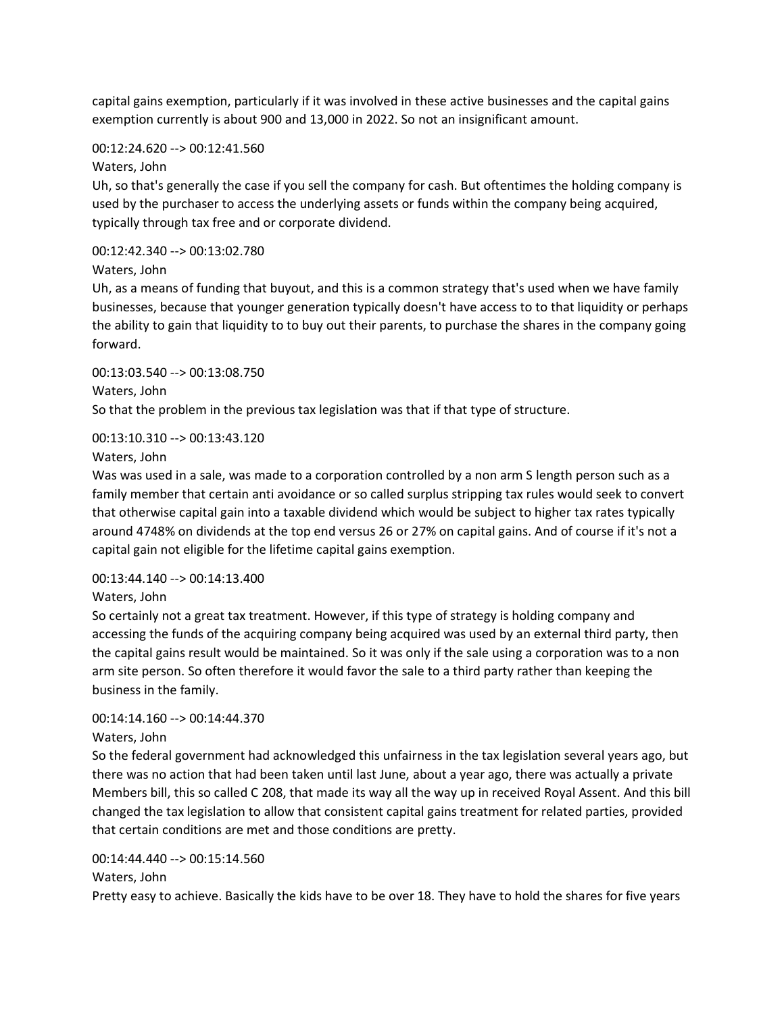capital gains exemption, particularly if it was involved in these active businesses and the capital gains exemption currently is about 900 and 13,000 in 2022. So not an insignificant amount.

#### 00:12:24.620 --> 00:12:41.560

Waters, John

Uh, so that's generally the case if you sell the company for cash. But oftentimes the holding company is used by the purchaser to access the underlying assets or funds within the company being acquired, typically through tax free and or corporate dividend.

### 00:12:42.340 --> 00:13:02.780

Waters, John

Uh, as a means of funding that buyout, and this is a common strategy that's used when we have family businesses, because that younger generation typically doesn't have access to to that liquidity or perhaps the ability to gain that liquidity to to buy out their parents, to purchase the shares in the company going forward.

00:13:03.540 --> 00:13:08.750 Waters, John So that the problem in the previous tax legislation was that if that type of structure.

#### 00:13:10.310 --> 00:13:43.120

Waters, John

Was was used in a sale, was made to a corporation controlled by a non arm S length person such as a family member that certain anti avoidance or so called surplus stripping tax rules would seek to convert that otherwise capital gain into a taxable dividend which would be subject to higher tax rates typically around 4748% on dividends at the top end versus 26 or 27% on capital gains. And of course if it's not a capital gain not eligible for the lifetime capital gains exemption.

#### 00:13:44.140 --> 00:14:13.400

Waters, John

So certainly not a great tax treatment. However, if this type of strategy is holding company and accessing the funds of the acquiring company being acquired was used by an external third party, then the capital gains result would be maintained. So it was only if the sale using a corporation was to a non arm site person. So often therefore it would favor the sale to a third party rather than keeping the business in the family.

# 00:14:14.160 --> 00:14:44.370

#### Waters, John

So the federal government had acknowledged this unfairness in the tax legislation several years ago, but there was no action that had been taken until last June, about a year ago, there was actually a private Members bill, this so called C 208, that made its way all the way up in received Royal Assent. And this bill changed the tax legislation to allow that consistent capital gains treatment for related parties, provided that certain conditions are met and those conditions are pretty.

#### 00:14:44.440 --> 00:15:14.560 Waters, John

Pretty easy to achieve. Basically the kids have to be over 18. They have to hold the shares for five years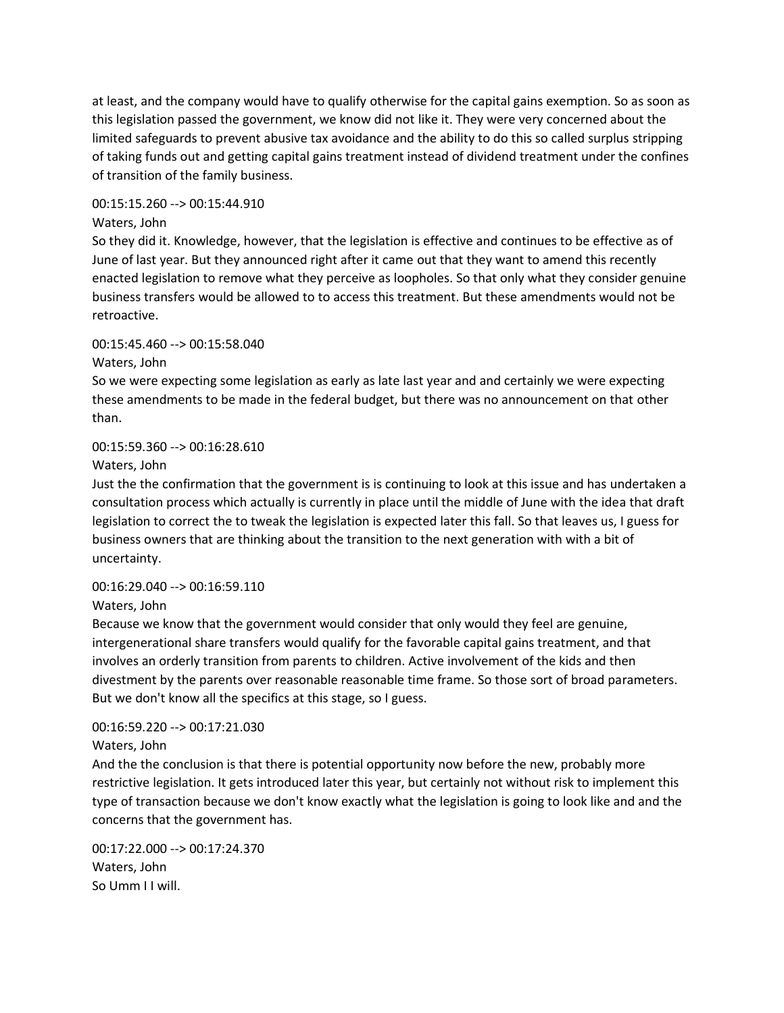at least, and the company would have to qualify otherwise for the capital gains exemption. So as soon as this legislation passed the government, we know did not like it. They were very concerned about the limited safeguards to prevent abusive tax avoidance and the ability to do this so called surplus stripping of taking funds out and getting capital gains treatment instead of dividend treatment under the confines of transition of the family business.

# 00:15:15.260 --> 00:15:44.910

### Waters, John

So they did it. Knowledge, however, that the legislation is effective and continues to be effective as of June of last year. But they announced right after it came out that they want to amend this recently enacted legislation to remove what they perceive as loopholes. So that only what they consider genuine business transfers would be allowed to to access this treatment. But these amendments would not be retroactive.

#### 00:15:45.460 --> 00:15:58.040

Waters, John

So we were expecting some legislation as early as late last year and and certainly we were expecting these amendments to be made in the federal budget, but there was no announcement on that other than.

#### 00:15:59.360 --> 00:16:28.610

Waters, John

Just the the confirmation that the government is is continuing to look at this issue and has undertaken a consultation process which actually is currently in place until the middle of June with the idea that draft legislation to correct the to tweak the legislation is expected later this fall. So that leaves us, I guess for business owners that are thinking about the transition to the next generation with with a bit of uncertainty.

# 00:16:29.040 --> 00:16:59.110

Waters, John

Because we know that the government would consider that only would they feel are genuine, intergenerational share transfers would qualify for the favorable capital gains treatment, and that involves an orderly transition from parents to children. Active involvement of the kids and then divestment by the parents over reasonable reasonable time frame. So those sort of broad parameters. But we don't know all the specifics at this stage, so I guess.

# 00:16:59.220 --> 00:17:21.030

Waters, John

And the the conclusion is that there is potential opportunity now before the new, probably more restrictive legislation. It gets introduced later this year, but certainly not without risk to implement this type of transaction because we don't know exactly what the legislation is going to look like and and the concerns that the government has.

00:17:22.000 --> 00:17:24.370 Waters, John So Umm I I will.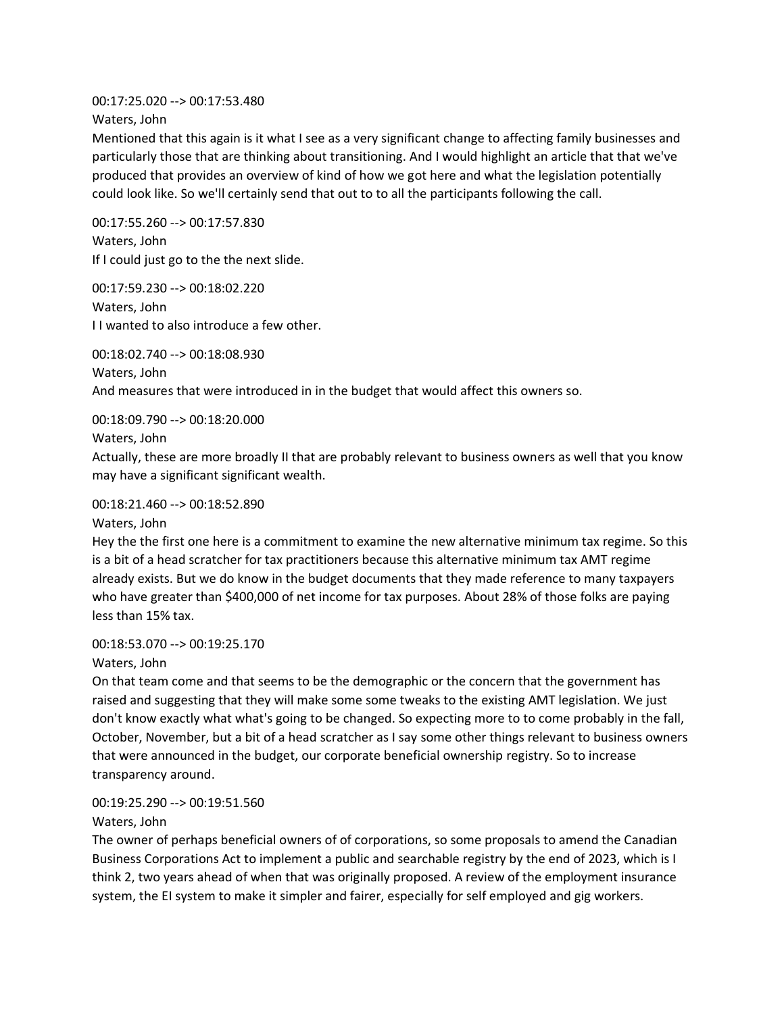00:17:25.020 --> 00:17:53.480 Waters, John

Mentioned that this again is it what I see as a very significant change to affecting family businesses and particularly those that are thinking about transitioning. And I would highlight an article that that we've produced that provides an overview of kind of how we got here and what the legislation potentially could look like. So we'll certainly send that out to to all the participants following the call.

00:17:55.260 --> 00:17:57.830 Waters, John If I could just go to the the next slide.

00:17:59.230 --> 00:18:02.220 Waters, John I I wanted to also introduce a few other.

00:18:02.740 --> 00:18:08.930 Waters, John And measures that were introduced in in the budget that would affect this owners so.

00:18:09.790 --> 00:18:20.000

Waters, John

Actually, these are more broadly II that are probably relevant to business owners as well that you know may have a significant significant wealth.

# 00:18:21.460 --> 00:18:52.890

Waters, John

Hey the the first one here is a commitment to examine the new alternative minimum tax regime. So this is a bit of a head scratcher for tax practitioners because this alternative minimum tax AMT regime already exists. But we do know in the budget documents that they made reference to many taxpayers who have greater than \$400,000 of net income for tax purposes. About 28% of those folks are paying less than 15% tax.

# 00:18:53.070 --> 00:19:25.170

Waters, John

On that team come and that seems to be the demographic or the concern that the government has raised and suggesting that they will make some some tweaks to the existing AMT legislation. We just don't know exactly what what's going to be changed. So expecting more to to come probably in the fall, October, November, but a bit of a head scratcher as I say some other things relevant to business owners that were announced in the budget, our corporate beneficial ownership registry. So to increase transparency around.

# 00:19:25.290 --> 00:19:51.560

Waters, John

The owner of perhaps beneficial owners of of corporations, so some proposals to amend the Canadian Business Corporations Act to implement a public and searchable registry by the end of 2023, which is I think 2, two years ahead of when that was originally proposed. A review of the employment insurance system, the EI system to make it simpler and fairer, especially for self employed and gig workers.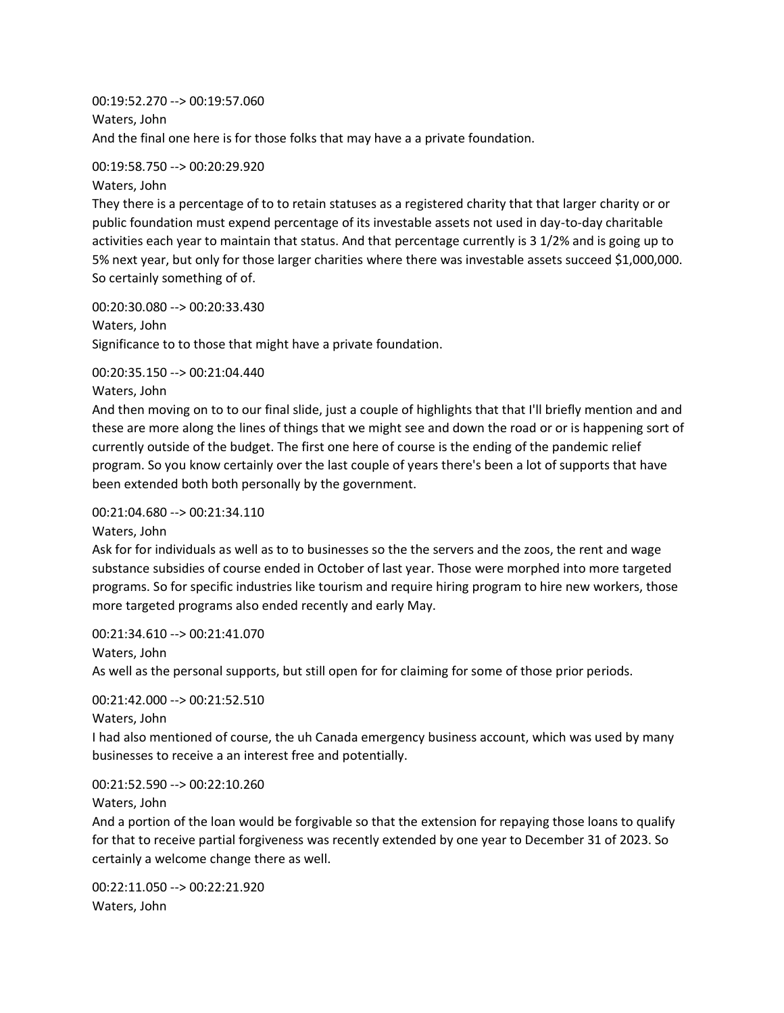00:19:52.270 --> 00:19:57.060 Waters, John And the final one here is for those folks that may have a a private foundation.

#### 00:19:58.750 --> 00:20:29.920

Waters, John

They there is a percentage of to to retain statuses as a registered charity that that larger charity or or public foundation must expend percentage of its investable assets not used in day-to-day charitable activities each year to maintain that status. And that percentage currently is 3 1/2% and is going up to 5% next year, but only for those larger charities where there was investable assets succeed \$1,000,000. So certainly something of of.

00:20:30.080 --> 00:20:33.430 Waters, John Significance to to those that might have a private foundation.

00:20:35.150 --> 00:21:04.440

Waters, John

And then moving on to to our final slide, just a couple of highlights that that I'll briefly mention and and these are more along the lines of things that we might see and down the road or or is happening sort of currently outside of the budget. The first one here of course is the ending of the pandemic relief program. So you know certainly over the last couple of years there's been a lot of supports that have been extended both both personally by the government.

00:21:04.680 --> 00:21:34.110

Waters, John

Ask for for individuals as well as to to businesses so the the servers and the zoos, the rent and wage substance subsidies of course ended in October of last year. Those were morphed into more targeted programs. So for specific industries like tourism and require hiring program to hire new workers, those more targeted programs also ended recently and early May.

00:21:34.610 --> 00:21:41.070

As well as the personal supports, but still open for for claiming for some of those prior periods.

00:21:42.000 --> 00:21:52.510

```
Waters, John
```
Waters, John

I had also mentioned of course, the uh Canada emergency business account, which was used by many businesses to receive a an interest free and potentially.

00:21:52.590 --> 00:22:10.260

Waters, John

And a portion of the loan would be forgivable so that the extension for repaying those loans to qualify for that to receive partial forgiveness was recently extended by one year to December 31 of 2023. So certainly a welcome change there as well.

00:22:11.050 --> 00:22:21.920 Waters, John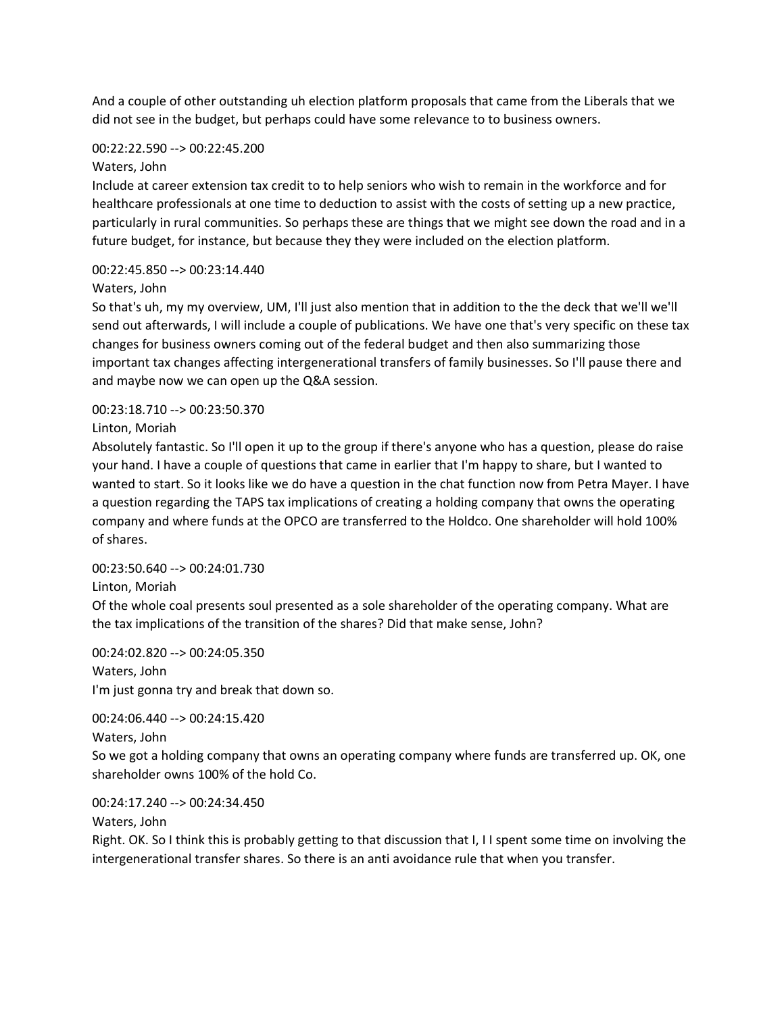And a couple of other outstanding uh election platform proposals that came from the Liberals that we did not see in the budget, but perhaps could have some relevance to to business owners.

# 00:22:22.590 --> 00:22:45.200

# Waters, John

Include at career extension tax credit to to help seniors who wish to remain in the workforce and for healthcare professionals at one time to deduction to assist with the costs of setting up a new practice, particularly in rural communities. So perhaps these are things that we might see down the road and in a future budget, for instance, but because they they were included on the election platform.

# 00:22:45.850 --> 00:23:14.440

# Waters, John

So that's uh, my my overview, UM, I'll just also mention that in addition to the the deck that we'll we'll send out afterwards, I will include a couple of publications. We have one that's very specific on these tax changes for business owners coming out of the federal budget and then also summarizing those important tax changes affecting intergenerational transfers of family businesses. So I'll pause there and and maybe now we can open up the Q&A session.

# 00:23:18.710 --> 00:23:50.370

Linton, Moriah

Absolutely fantastic. So I'll open it up to the group if there's anyone who has a question, please do raise your hand. I have a couple of questions that came in earlier that I'm happy to share, but I wanted to wanted to start. So it looks like we do have a question in the chat function now from Petra Mayer. I have a question regarding the TAPS tax implications of creating a holding company that owns the operating company and where funds at the OPCO are transferred to the Holdco. One shareholder will hold 100% of shares.

# 00:23:50.640 --> 00:24:01.730

# Linton, Moriah

Of the whole coal presents soul presented as a sole shareholder of the operating company. What are the tax implications of the transition of the shares? Did that make sense, John?

00:24:02.820 --> 00:24:05.350 Waters, John I'm just gonna try and break that down so.

00:24:06.440 --> 00:24:15.420 Waters, John

So we got a holding company that owns an operating company where funds are transferred up. OK, one shareholder owns 100% of the hold Co.

00:24:17.240 --> 00:24:34.450

Waters, John

Right. OK. So I think this is probably getting to that discussion that I, I I spent some time on involving the intergenerational transfer shares. So there is an anti avoidance rule that when you transfer.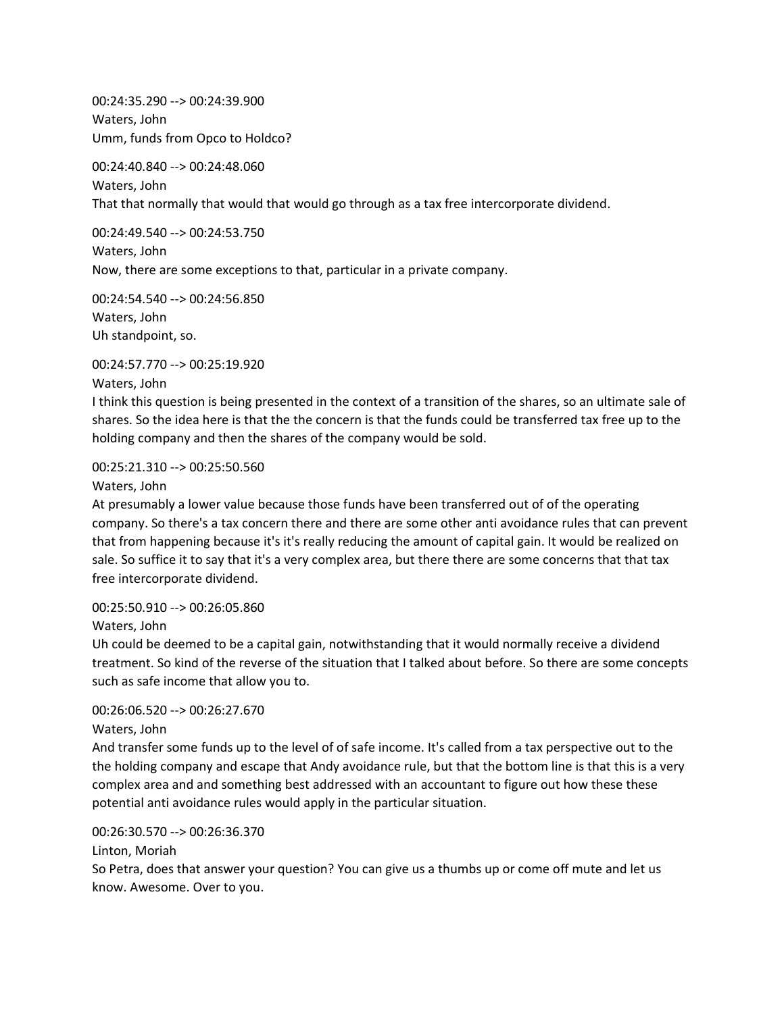00:24:35.290 --> 00:24:39.900 Waters, John Umm, funds from Opco to Holdco?

00:24:40.840 --> 00:24:48.060 Waters, John That that normally that would that would go through as a tax free intercorporate dividend.

00:24:49.540 --> 00:24:53.750 Waters, John Now, there are some exceptions to that, particular in a private company.

00:24:54.540 --> 00:24:56.850 Waters, John Uh standpoint, so.

00:24:57.770 --> 00:25:19.920

Waters, John

I think this question is being presented in the context of a transition of the shares, so an ultimate sale of shares. So the idea here is that the the concern is that the funds could be transferred tax free up to the holding company and then the shares of the company would be sold.

00:25:21.310 --> 00:25:50.560

Waters, John

At presumably a lower value because those funds have been transferred out of of the operating company. So there's a tax concern there and there are some other anti avoidance rules that can prevent that from happening because it's it's really reducing the amount of capital gain. It would be realized on sale. So suffice it to say that it's a very complex area, but there there are some concerns that that tax free intercorporate dividend.

00:25:50.910 --> 00:26:05.860

Waters, John

Uh could be deemed to be a capital gain, notwithstanding that it would normally receive a dividend treatment. So kind of the reverse of the situation that I talked about before. So there are some concepts such as safe income that allow you to.

# 00:26:06.520 --> 00:26:27.670

Waters, John

And transfer some funds up to the level of of safe income. It's called from a tax perspective out to the the holding company and escape that Andy avoidance rule, but that the bottom line is that this is a very complex area and and something best addressed with an accountant to figure out how these these potential anti avoidance rules would apply in the particular situation.

00:26:30.570 --> 00:26:36.370

Linton, Moriah

So Petra, does that answer your question? You can give us a thumbs up or come off mute and let us know. Awesome. Over to you.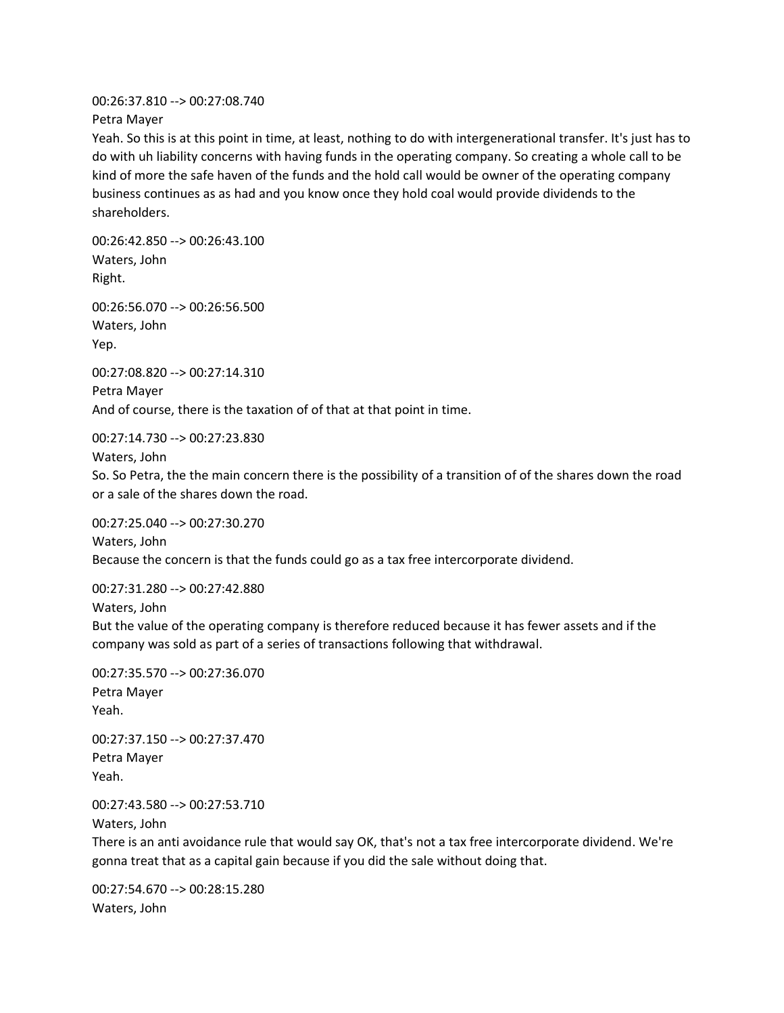00:26:37.810 --> 00:27:08.740 Petra Mayer

Yeah. So this is at this point in time, at least, nothing to do with intergenerational transfer. It's just has to do with uh liability concerns with having funds in the operating company. So creating a whole call to be kind of more the safe haven of the funds and the hold call would be owner of the operating company business continues as as had and you know once they hold coal would provide dividends to the shareholders.

00:26:42.850 --> 00:26:43.100 Waters, John Right.

00:26:56.070 --> 00:26:56.500 Waters, John Yep.

00:27:08.820 --> 00:27:14.310 Petra Mayer And of course, there is the taxation of of that at that point in time.

00:27:14.730 --> 00:27:23.830

Waters, John

So. So Petra, the the main concern there is the possibility of a transition of of the shares down the road or a sale of the shares down the road.

00:27:25.040 --> 00:27:30.270 Waters, John Because the concern is that the funds could go as a tax free intercorporate dividend.

00:27:31.280 --> 00:27:42.880 Waters, John

But the value of the operating company is therefore reduced because it has fewer assets and if the company was sold as part of a series of transactions following that withdrawal.

```
00:27:35.570 --> 00:27:36.070
Petra Mayer
Yeah.
```
00:27:37.150 --> 00:27:37.470 Petra Mayer Yeah.

00:27:43.580 --> 00:27:53.710

Waters, John

There is an anti avoidance rule that would say OK, that's not a tax free intercorporate dividend. We're gonna treat that as a capital gain because if you did the sale without doing that.

00:27:54.670 --> 00:28:15.280 Waters, John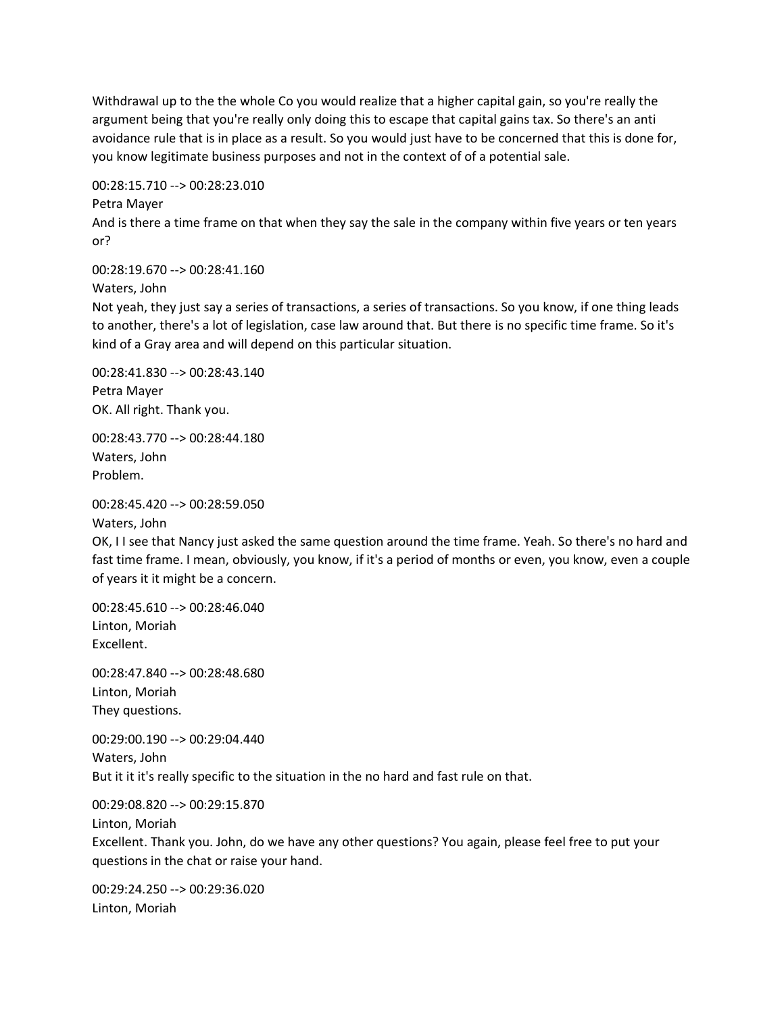Withdrawal up to the the whole Co you would realize that a higher capital gain, so you're really the argument being that you're really only doing this to escape that capital gains tax. So there's an anti avoidance rule that is in place as a result. So you would just have to be concerned that this is done for, you know legitimate business purposes and not in the context of of a potential sale.

00:28:15.710 --> 00:28:23.010

Petra Mayer

And is there a time frame on that when they say the sale in the company within five years or ten years or?

00:28:19.670 --> 00:28:41.160

Waters, John

Not yeah, they just say a series of transactions, a series of transactions. So you know, if one thing leads to another, there's a lot of legislation, case law around that. But there is no specific time frame. So it's kind of a Gray area and will depend on this particular situation.

00:28:41.830 --> 00:28:43.140 Petra Mayer OK. All right. Thank you.

00:28:43.770 --> 00:28:44.180 Waters, John Problem.

```
00:28:45.420 --> 00:28:59.050
```
Waters, John

OK, I I see that Nancy just asked the same question around the time frame. Yeah. So there's no hard and fast time frame. I mean, obviously, you know, if it's a period of months or even, you know, even a couple of years it it might be a concern.

00:28:45.610 --> 00:28:46.040 Linton, Moriah Excellent.

00:28:47.840 --> 00:28:48.680 Linton, Moriah They questions.

00:29:00.190 --> 00:29:04.440 Waters, John But it it it's really specific to the situation in the no hard and fast rule on that.

00:29:08.820 --> 00:29:15.870 Linton, Moriah Excellent. Thank you. John, do we have any other questions? You again, please feel free to put your questions in the chat or raise your hand.

00:29:24.250 --> 00:29:36.020 Linton, Moriah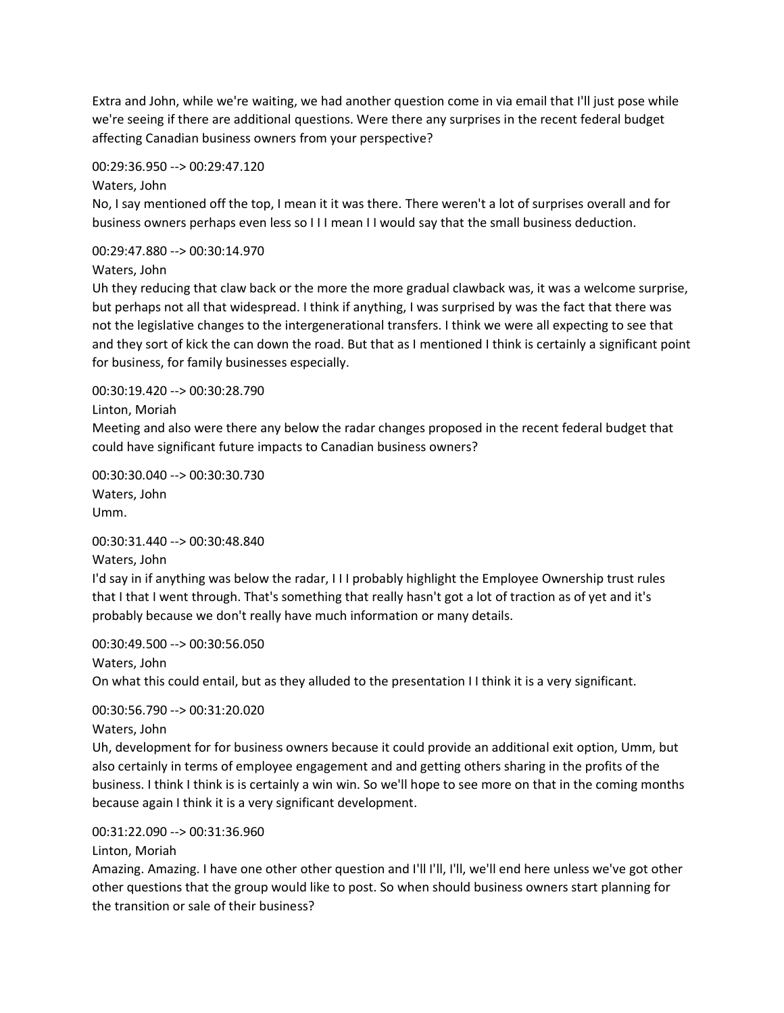Extra and John, while we're waiting, we had another question come in via email that I'll just pose while we're seeing if there are additional questions. Were there any surprises in the recent federal budget affecting Canadian business owners from your perspective?

00:29:36.950 --> 00:29:47.120

Waters, John

No, I say mentioned off the top, I mean it it was there. There weren't a lot of surprises overall and for business owners perhaps even less so I I I mean I I would say that the small business deduction.

00:29:47.880 --> 00:30:14.970

Waters, John

Uh they reducing that claw back or the more the more gradual clawback was, it was a welcome surprise, but perhaps not all that widespread. I think if anything, I was surprised by was the fact that there was not the legislative changes to the intergenerational transfers. I think we were all expecting to see that and they sort of kick the can down the road. But that as I mentioned I think is certainly a significant point for business, for family businesses especially.

00:30:19.420 --> 00:30:28.790

Linton, Moriah

Meeting and also were there any below the radar changes proposed in the recent federal budget that could have significant future impacts to Canadian business owners?

00:30:30.040 --> 00:30:30.730 Waters, John Umm.

00:30:31.440 --> 00:30:48.840

Waters, John

I'd say in if anything was below the radar, I I I probably highlight the Employee Ownership trust rules that I that I went through. That's something that really hasn't got a lot of traction as of yet and it's probably because we don't really have much information or many details.

00:30:49.500 --> 00:30:56.050 Waters, John On what this could entail, but as they alluded to the presentation I I think it is a very significant.

00:30:56.790 --> 00:31:20.020

Waters, John

Uh, development for for business owners because it could provide an additional exit option, Umm, but also certainly in terms of employee engagement and and getting others sharing in the profits of the business. I think I think is is certainly a win win. So we'll hope to see more on that in the coming months because again I think it is a very significant development.

00:31:22.090 --> 00:31:36.960

Linton, Moriah

Amazing. Amazing. I have one other other question and I'll I'll, I'll, we'll end here unless we've got other other questions that the group would like to post. So when should business owners start planning for the transition or sale of their business?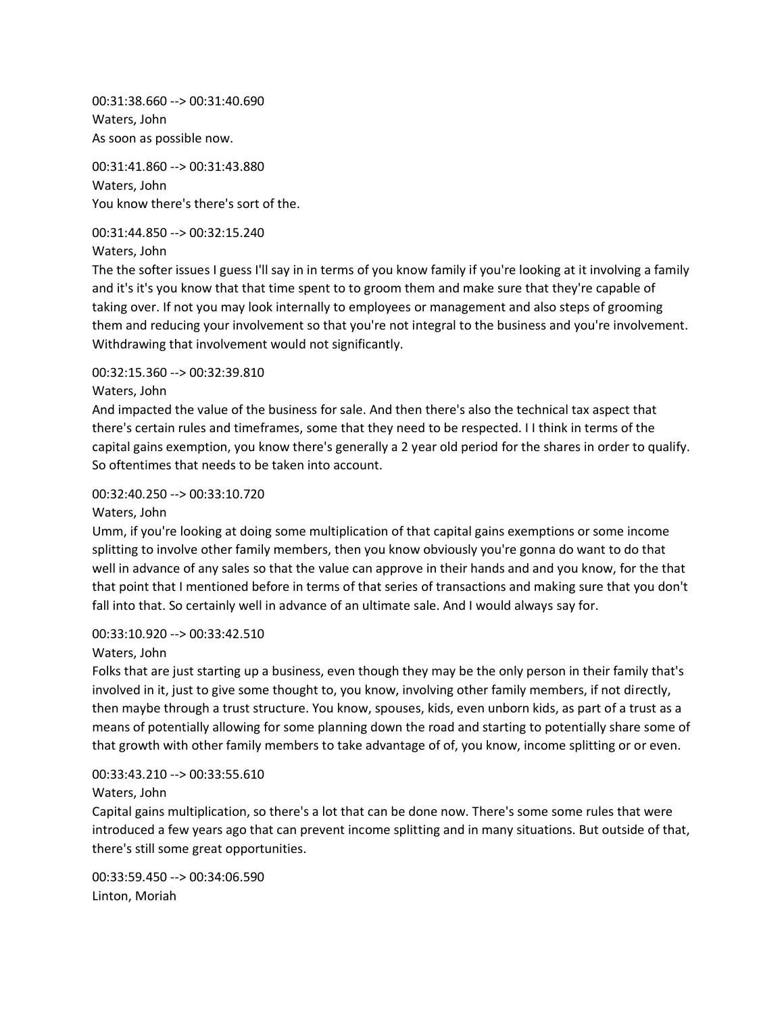00:31:38.660 --> 00:31:40.690 Waters, John As soon as possible now.

00:31:41.860 --> 00:31:43.880 Waters, John You know there's there's sort of the.

00:31:44.850 --> 00:32:15.240

Waters, John

The the softer issues I guess I'll say in in terms of you know family if you're looking at it involving a family and it's it's you know that that time spent to to groom them and make sure that they're capable of taking over. If not you may look internally to employees or management and also steps of grooming them and reducing your involvement so that you're not integral to the business and you're involvement. Withdrawing that involvement would not significantly.

#### 00:32:15.360 --> 00:32:39.810

#### Waters, John

And impacted the value of the business for sale. And then there's also the technical tax aspect that there's certain rules and timeframes, some that they need to be respected. I I think in terms of the capital gains exemption, you know there's generally a 2 year old period for the shares in order to qualify. So oftentimes that needs to be taken into account.

#### 00:32:40.250 --> 00:33:10.720

### Waters, John

Umm, if you're looking at doing some multiplication of that capital gains exemptions or some income splitting to involve other family members, then you know obviously you're gonna do want to do that well in advance of any sales so that the value can approve in their hands and and you know, for the that that point that I mentioned before in terms of that series of transactions and making sure that you don't fall into that. So certainly well in advance of an ultimate sale. And I would always say for.

# 00:33:10.920 --> 00:33:42.510

# Waters, John

Folks that are just starting up a business, even though they may be the only person in their family that's involved in it, just to give some thought to, you know, involving other family members, if not directly, then maybe through a trust structure. You know, spouses, kids, even unborn kids, as part of a trust as a means of potentially allowing for some planning down the road and starting to potentially share some of that growth with other family members to take advantage of of, you know, income splitting or or even.

# 00:33:43.210 --> 00:33:55.610

# Waters, John

Capital gains multiplication, so there's a lot that can be done now. There's some some rules that were introduced a few years ago that can prevent income splitting and in many situations. But outside of that, there's still some great opportunities.

00:33:59.450 --> 00:34:06.590 Linton, Moriah